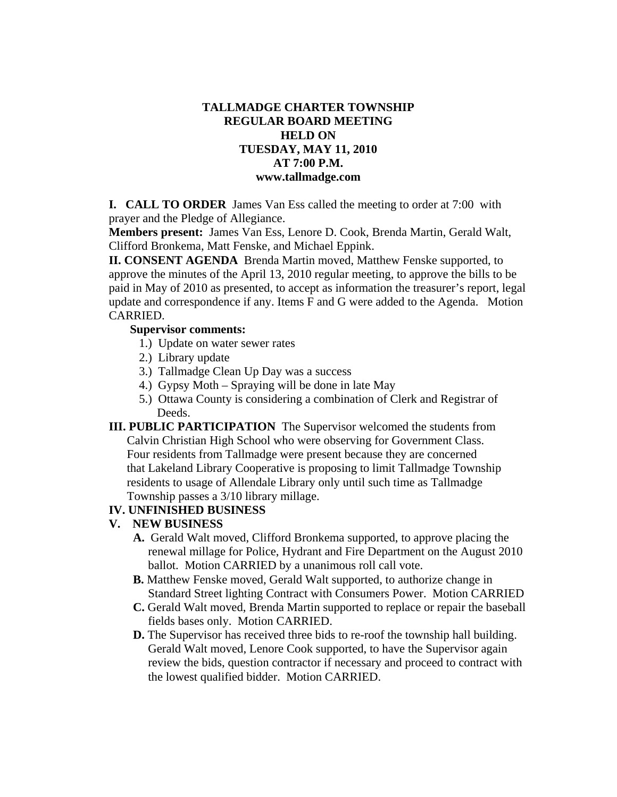# **TALLMADGE CHARTER TOWNSHIP REGULAR BOARD MEETING HELD ON TUESDAY, MAY 11, 2010 AT 7:00 P.M. www.tallmadge.com**

**I. CALL TO ORDER** James Van Ess called the meeting to order at 7:00 with prayer and the Pledge of Allegiance.

**Members present:** James Van Ess, Lenore D. Cook, Brenda Martin, Gerald Walt, Clifford Bronkema, Matt Fenske, and Michael Eppink.

**II. CONSENT AGENDA** Brenda Martin moved, Matthew Fenske supported, to approve the minutes of the April 13, 2010 regular meeting, to approve the bills to be paid in May of 2010 as presented, to accept as information the treasurer's report, legal update and correspondence if any. Items F and G were added to the Agenda. Motion CARRIED.

### **Supervisor comments:**

- 1.) Update on water sewer rates
- 2.) Library update
- 3.) Tallmadge Clean Up Day was a success
- 4.) Gypsy Moth Spraying will be done in late May
- 5.) Ottawa County is considering a combination of Clerk and Registrar of Deeds.
- **III. PUBLIC PARTICIPATION** The Supervisor welcomed the students from Calvin Christian High School who were observing for Government Class. Four residents from Tallmadge were present because they are concerned that Lakeland Library Cooperative is proposing to limit Tallmadge Township residents to usage of Allendale Library only until such time as Tallmadge Township passes a 3/10 library millage.

### **IV. UNFINISHED BUSINESS**

### **V. NEW BUSINESS**

- **A.** Gerald Walt moved, Clifford Bronkema supported, to approve placing the renewal millage for Police, Hydrant and Fire Department on the August 2010 ballot. Motion CARRIED by a unanimous roll call vote.
- **B.** Matthew Fenske moved, Gerald Walt supported, to authorize change in Standard Street lighting Contract with Consumers Power. Motion CARRIED
- **C.** Gerald Walt moved, Brenda Martin supported to replace or repair the baseball fields bases only. Motion CARRIED.
- **D.** The Supervisor has received three bids to re-roof the township hall building. Gerald Walt moved, Lenore Cook supported, to have the Supervisor again review the bids, question contractor if necessary and proceed to contract with the lowest qualified bidder. Motion CARRIED.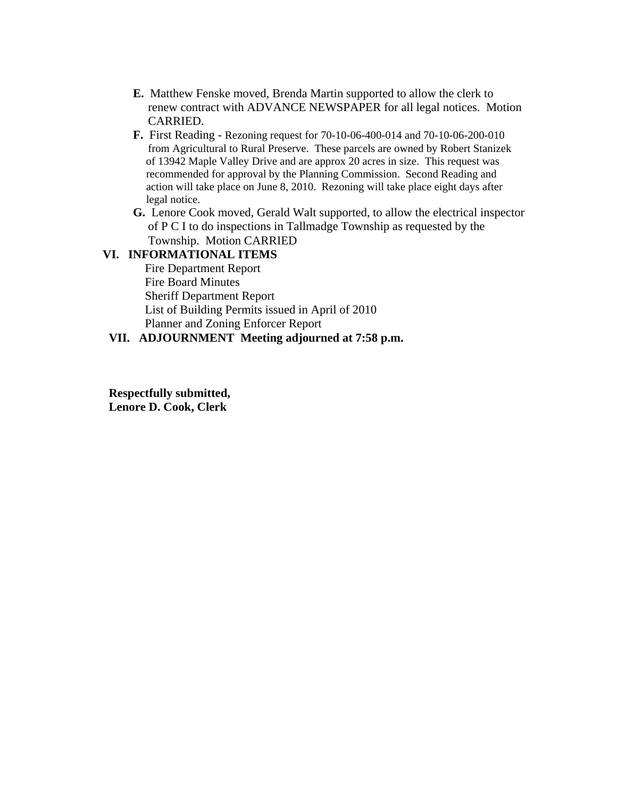- **E.** Matthew Fenske moved, Brenda Martin supported to allow the clerk to renew contract with ADVANCE NEWSPAPER for all legal notices. Motion CARRIED.
- **F.** First Reading Rezoning request for 70-10-06-400-014 and 70-10-06-200-010 from Agricultural to Rural Preserve. These parcels are owned by Robert Stanizek of 13942 Maple Valley Drive and are approx 20 acres in size. This request was recommended for approval by the Planning Commission. Second Reading and action will take place on June 8, 2010. Rezoning will take place eight days after legal notice.
- **G.** Lenore Cook moved, Gerald Walt supported, to allow the electrical inspector of P C I to do inspections in Tallmadge Township as requested by the Township. Motion CARRIED

### **VI. INFORMATIONAL ITEMS**

Fire Department Report Fire Board Minutes Sheriff Department Report List of Building Permits issued in April of 2010 Planner and Zoning Enforcer Report

## **VII. ADJOURNMENT Meeting adjourned at 7:58 p.m.**

**Respectfully submitted, Lenore D. Cook, Clerk**